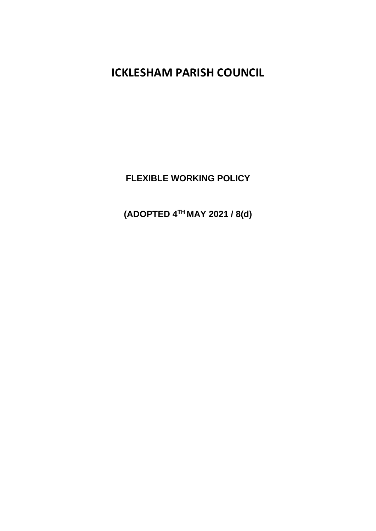**ICKLESHAM PARISH COUNCIL**

**FLEXIBLE WORKING POLICY**

**(ADOPTED 4TH MAY 2021 / 8(d)**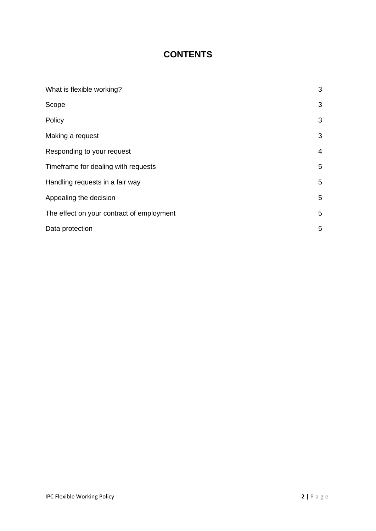# **CONTENTS**

| What is flexible working?                 | 3 |
|-------------------------------------------|---|
| Scope                                     | 3 |
| Policy                                    | 3 |
| Making a request                          | 3 |
| Responding to your request                | 4 |
| Timeframe for dealing with requests       | 5 |
| Handling requests in a fair way           | 5 |
| Appealing the decision                    | 5 |
| The effect on your contract of employment | 5 |
| Data protection                           | 5 |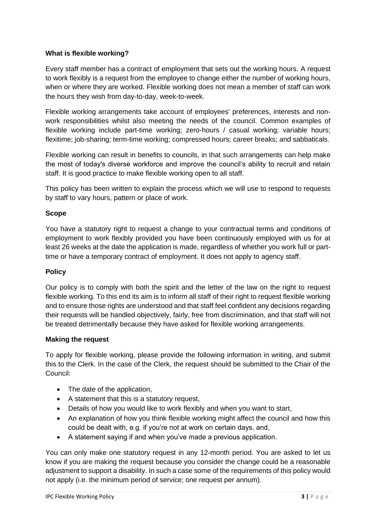## **What is flexible working?**

Every staff member has a contract of employment that sets out the working hours. A request to work flexibly is a request from the employee to change either the number of working hours, when or where they are worked. Flexible working does not mean a member of staff can work the hours they wish from day-to-day, week-to-week.

Flexible working arrangements take account of employees' preferences, interests and nonwork responsibilities whilst also meeting the needs of the council. Common examples of flexible working include part-time working; zero-hours / casual working; variable hours; flexitime; job-sharing; term-time working; compressed hours; career breaks; and sabbaticals.

Flexible working can result in benefits to councils, in that such arrangements can help make the most of today's diverse workforce and improve the council's ability to recruit and retain staff. It is good practice to make flexible working open to all staff.

This policy has been written to explain the process which we will use to respond to requests by staff to vary hours, pattern or place of work.

## **Scope**

You have a statutory right to request a change to your contractual terms and conditions of employment to work flexibly provided you have been continuously employed with us for at least 26 weeks at the date the application is made, regardless of whether you work full or parttime or have a temporary contract of employment. It does not apply to agency staff.

#### **Policy**

Our policy is to comply with both the spirit and the letter of the law on the right to request flexible working. To this end its aim is to inform all staff of their right to request flexible working and to ensure those rights are understood and that staff feel confident any decisions regarding their requests will be handled objectively, fairly, free from discrimination, and that staff will not be treated detrimentally because they have asked for flexible working arrangements.

#### **Making the request**

To apply for flexible working, please provide the following information in writing, and submit this to the Clerk. In the case of the Clerk, the request should be submitted to the Chair of the Council:

- The date of the application,
- A statement that this is a statutory request,
- Details of how you would like to work flexibly and when you want to start,
- An explanation of how you think flexible working might affect the council and how this could be dealt with, e.g. if you're not at work on certain days, and,
- A statement saying if and when you've made a previous application.

You can only make one statutory request in any 12-month period. You are asked to let us know if you are making the request because you consider the change could be a reasonable adjustment to support a disability. In such a case some of the requirements of this policy would not apply (i.e. the minimum period of service; one request per annum).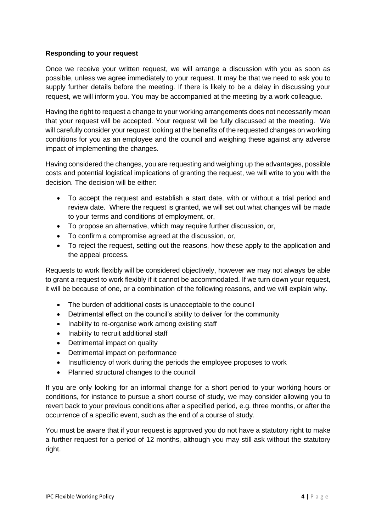## **Responding to your request**

Once we receive your written request, we will arrange a discussion with you as soon as possible, unless we agree immediately to your request. It may be that we need to ask you to supply further details before the meeting. If there is likely to be a delay in discussing your request, we will inform you. You may be accompanied at the meeting by a work colleague.

Having the right to request a change to your working arrangements does not necessarily mean that your request will be accepted. Your request will be fully discussed at the meeting. We will carefully consider your request looking at the benefits of the requested changes on working conditions for you as an employee and the council and weighing these against any adverse impact of implementing the changes.

Having considered the changes, you are requesting and weighing up the advantages, possible costs and potential logistical implications of granting the request, we will write to you with the decision. The decision will be either:

- To accept the request and establish a start date, with or without a trial period and review date. Where the request is granted, we will set out what changes will be made to your terms and conditions of employment, or,
- To propose an alternative, which may require further discussion, or,
- To confirm a compromise agreed at the discussion, or,
- To reject the request, setting out the reasons, how these apply to the application and the appeal process.

Requests to work flexibly will be considered objectively, however we may not always be able to grant a request to work flexibly if it cannot be accommodated. If we turn down your request, it will be because of one, or a combination of the following reasons, and we will explain why.

- The burden of additional costs is unacceptable to the council
- Detrimental effect on the council's ability to deliver for the community
- Inability to re-organise work among existing staff
- Inability to recruit additional staff
- Detrimental impact on quality
- Detrimental impact on performance
- Insufficiency of work during the periods the employee proposes to work
- Planned structural changes to the council

If you are only looking for an informal change for a short period to your working hours or conditions, for instance to pursue a short course of study, we may consider allowing you to revert back to your previous conditions after a specified period, e.g. three months, or after the occurrence of a specific event, such as the end of a course of study.

You must be aware that if your request is approved you do not have a statutory right to make a further request for a period of 12 months, although you may still ask without the statutory right.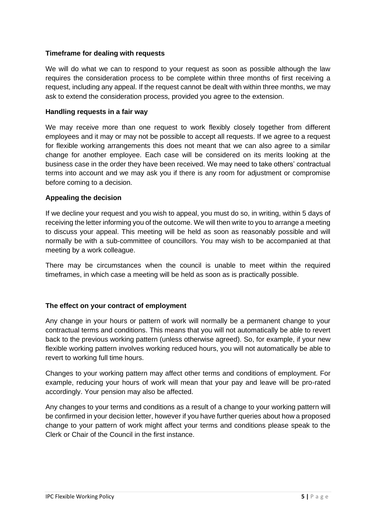## **Timeframe for dealing with requests**

We will do what we can to respond to your request as soon as possible although the law requires the consideration process to be complete within three months of first receiving a request, including any appeal. If the request cannot be dealt with within three months, we may ask to extend the consideration process, provided you agree to the extension.

## **Handling requests in a fair way**

We may receive more than one request to work flexibly closely together from different employees and it may or may not be possible to accept all requests. If we agree to a request for flexible working arrangements this does not meant that we can also agree to a similar change for another employee. Each case will be considered on its merits looking at the business case in the order they have been received. We may need to take others' contractual terms into account and we may ask you if there is any room for adjustment or compromise before coming to a decision.

## **Appealing the decision**

If we decline your request and you wish to appeal, you must do so, in writing, within 5 days of receiving the letter informing you of the outcome. We will then write to you to arrange a meeting to discuss your appeal. This meeting will be held as soon as reasonably possible and will normally be with a sub-committee of councillors. You may wish to be accompanied at that meeting by a work colleague.

There may be circumstances when the council is unable to meet within the required timeframes, in which case a meeting will be held as soon as is practically possible.

## **The effect on your contract of employment**

Any change in your hours or pattern of work will normally be a permanent change to your contractual terms and conditions. This means that you will not automatically be able to revert back to the previous working pattern (unless otherwise agreed). So, for example, if your new flexible working pattern involves working reduced hours, you will not automatically be able to revert to working full time hours.

Changes to your working pattern may affect other terms and conditions of employment. For example, reducing your hours of work will mean that your pay and leave will be pro-rated accordingly. Your pension may also be affected.

Any changes to your terms and conditions as a result of a change to your working pattern will be confirmed in your decision letter, however if you have further queries about how a proposed change to your pattern of work might affect your terms and conditions please speak to the Clerk or Chair of the Council in the first instance.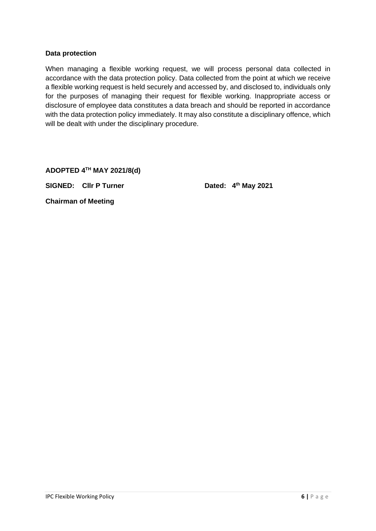#### **Data protection**

When managing a flexible working request, we will process personal data collected in accordance with the data protection policy. Data collected from the point at which we receive a flexible working request is held securely and accessed by, and disclosed to, individuals only for the purposes of managing their request for flexible working. Inappropriate access or disclosure of employee data constitutes a data breach and should be reported in accordance with the data protection policy immediately. It may also constitute a disciplinary offence, which will be dealt with under the disciplinary procedure.

**ADOPTED 4TH MAY 2021/8(d)**

**SIGNED: Cllr P Turner Dated: 4th May 2021**

**Chairman of Meeting**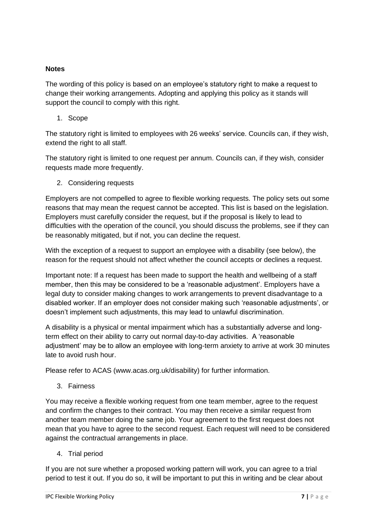## **Notes**

The wording of this policy is based on an employee's statutory right to make a request to change their working arrangements. Adopting and applying this policy as it stands will support the council to comply with this right.

1. Scope

The statutory right is limited to employees with 26 weeks' service. Councils can, if they wish, extend the right to all staff.

The statutory right is limited to one request per annum. Councils can, if they wish, consider requests made more frequently.

2. Considering requests

Employers are not compelled to agree to flexible working requests. The policy sets out some reasons that may mean the request cannot be accepted. This list is based on the legislation. Employers must carefully consider the request, but if the proposal is likely to lead to difficulties with the operation of the council, you should discuss the problems, see if they can be reasonably mitigated, but if not, you can decline the request.

With the exception of a request to support an employee with a disability (see below), the reason for the request should not affect whether the council accepts or declines a request.

Important note: If a request has been made to support the health and wellbeing of a staff member, then this may be considered to be a 'reasonable adjustment'. Employers have a legal duty to consider making changes to work arrangements to prevent disadvantage to a disabled worker. If an employer does not consider making such 'reasonable adjustments', or doesn't implement such adjustments, this may lead to unlawful discrimination.

A disability is a physical or mental impairment which has a substantially adverse and longterm effect on their ability to carry out normal day-to-day activities. A 'reasonable adjustment' may be to allow an employee with long-term anxiety to arrive at work 30 minutes late to avoid rush hour.

Please refer to ACAS (www.acas.org.uk/disability) for further information.

3. Fairness

You may receive a flexible working request from one team member, agree to the request and confirm the changes to their contract. You may then receive a similar request from another team member doing the same job. Your agreement to the first request does not mean that you have to agree to the second request. Each request will need to be considered against the contractual arrangements in place.

4. Trial period

If you are not sure whether a proposed working pattern will work, you can agree to a trial period to test it out. If you do so, it will be important to put this in writing and be clear about